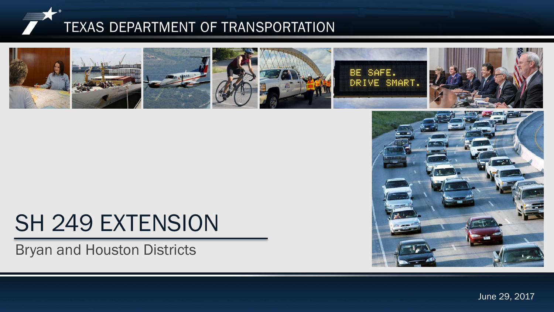



# SH 249 EXTENSION

Bryan and Houston Districts

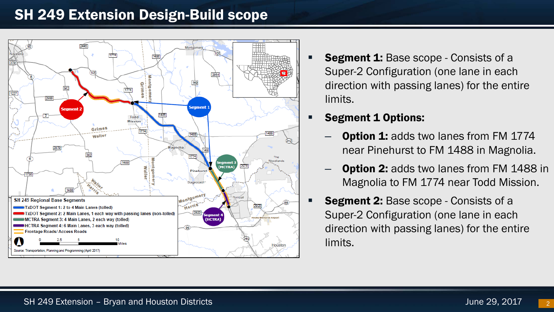## SH 249 Extension Design-Build scope



- **Segment 1:** Base scope Consists of a Super-2 Configuration (one lane in each direction with passing lanes) for the entire limits.
- Segment 1 Options:
	- **Option 1:** adds two lanes from FM 1774 near Pinehurst to FM 1488 in Magnolia.
	- **Option 2:** adds two lanes from FM 1488 in Magnolia to FM 1774 near Todd Mission.
- **Segment 2:** Base scope Consists of a Super-2 Configuration (one lane in each direction with passing lanes) for the entire limits.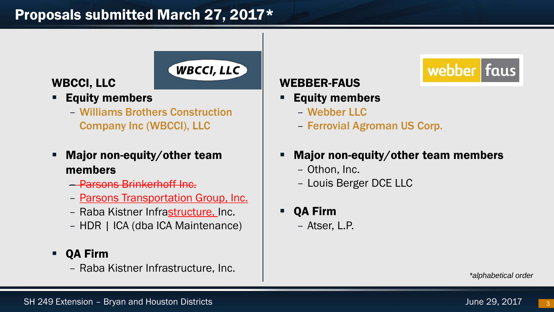# Proposals submitted March 27, 2017\*

#### WBCCI, LLC

- Equity members
	- Williams Brothers Construction Company Inc (WBCCI), LLC

**WBCCI, LLC** 

- Major non-equity/other team members
	- Parsons Brinkerhoff Inc.
	- Parsons Transportation Group, Inc.
	- Raba Kistner Infrastructure, Inc.
	- HDR | ICA (dba ICA Maintenance)
- QA Firm
	- Raba Kistner Infrastructure, Inc.

#### WEBBER-FAUS

- Equity members
	- Webber LLC
	- Ferrovial Agroman US Corp.
- Major non-equity/other team members
	- Othon, Inc.
	- Louis Berger DCE LLC
- QA Firm
	- Atser, L.P.

*\*alphabetical order*

webber faus

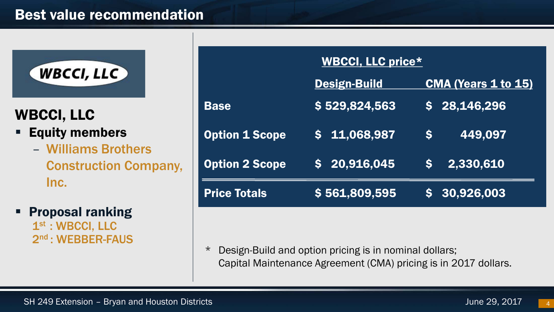## Best value recommendation



## WBCCI, LLC

- **Equity members** 
	- Williams Brothers Construction Company, Inc.
- Proposal ranking 1st : WBCCI, LLC 2nd : WEBBER-FAUS

| <b>WBCCI, LLC price*</b> |                     |                            |
|--------------------------|---------------------|----------------------------|
|                          | <b>Design-Build</b> | <b>CMA (Years 1 to 15)</b> |
| <b>Base</b>              | \$529,824,563       | \$28,146,296               |
| <b>Option 1 Scope</b>    | $5\quad 11,068,987$ | 449,097<br>S               |
| <b>Option 2 Scope</b>    | \$20,916,045        | 2,330,610<br>S.            |
| <b>Price Totals</b>      | \$561,809,595       | \$30,926,003               |

\* Design-Build and option pricing is in nominal dollars; Capital Maintenance Agreement (CMA) pricing is in 2017 dollars.

4